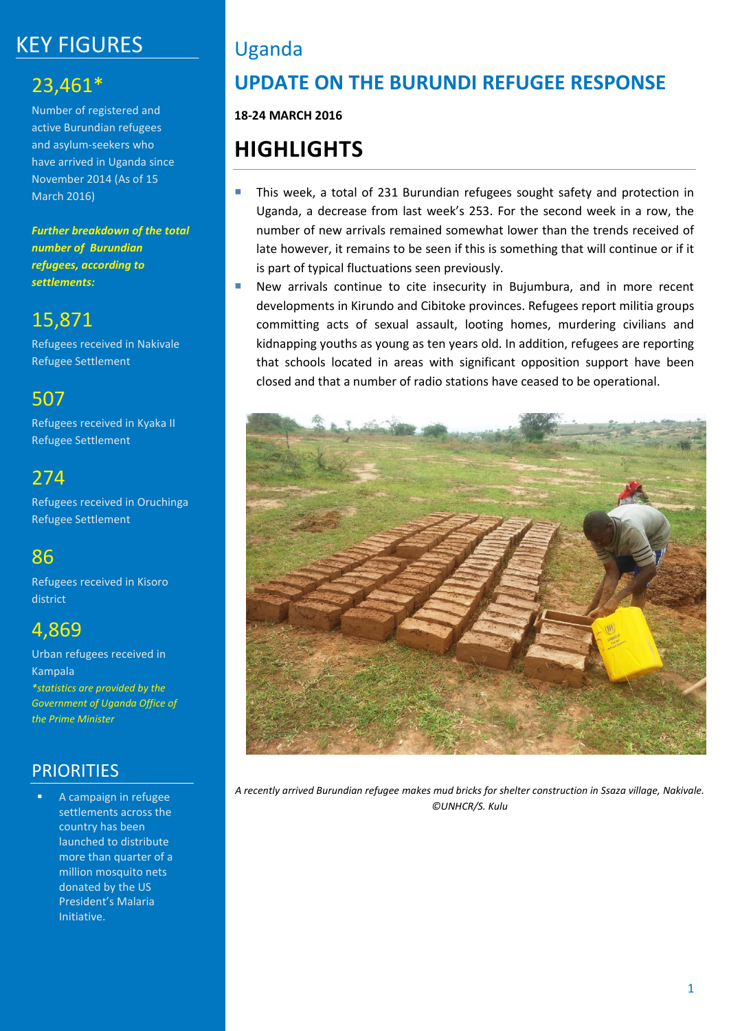# KEY FIGURES

# 23,461\*

Number of registered and active Burundian refugees and asylum-seekers who have arrived in Uganda since November 2014 (As of 15 March 2016)

*Further breakdown of the total number of Burundian refugees, according to settlements:*

# 15,871

Refugees received in Nakivale Refugee Settlement

### 507

Refugees received in Kyaka II Refugee Settlement

# 274

Refugees received in Oruchinga Refugee Settlement

# 86

Refugees received in Kisoro district

# 4,869

Urban refugees received in Kampala *\*statistics are provided by the Government of Uganda Office of the Prime Minister*

### **PRIORITIES**

 A campaign in refugee settlements across the country has been launched to distribute more than quarter of a million mosquito nets donated by the US President's Malaria Initiative.

# Uganda

# **UPDATE ON THE BURUNDI REFUGEE RESPONSE**

**18-24 MARCH 2016**

# **HIGHLIGHTS**

- **This week, a total of 231 Burundian refugees sought safety and protection in** Uganda, a decrease from last week's 253. For the second week in a row, the number of new arrivals remained somewhat lower than the trends received of late however, it remains to be seen if this is something that will continue or if it is part of typical fluctuations seen previously.
- **New arrivals continue to cite insecurity in Bujumbura, and in more recent** developments in Kirundo and Cibitoke provinces. Refugees report militia groups committing acts of sexual assault, looting homes, murdering civilians and kidnapping youths as young as ten years old. In addition, refugees are reporting that schools located in areas with significant opposition support have been closed and that a number of radio stations have ceased to be operational.



*A recently arrived Burundian refugee makes mud bricks for shelter construction in Ssaza village, Nakivale. ©UNHCR/S. Kulu*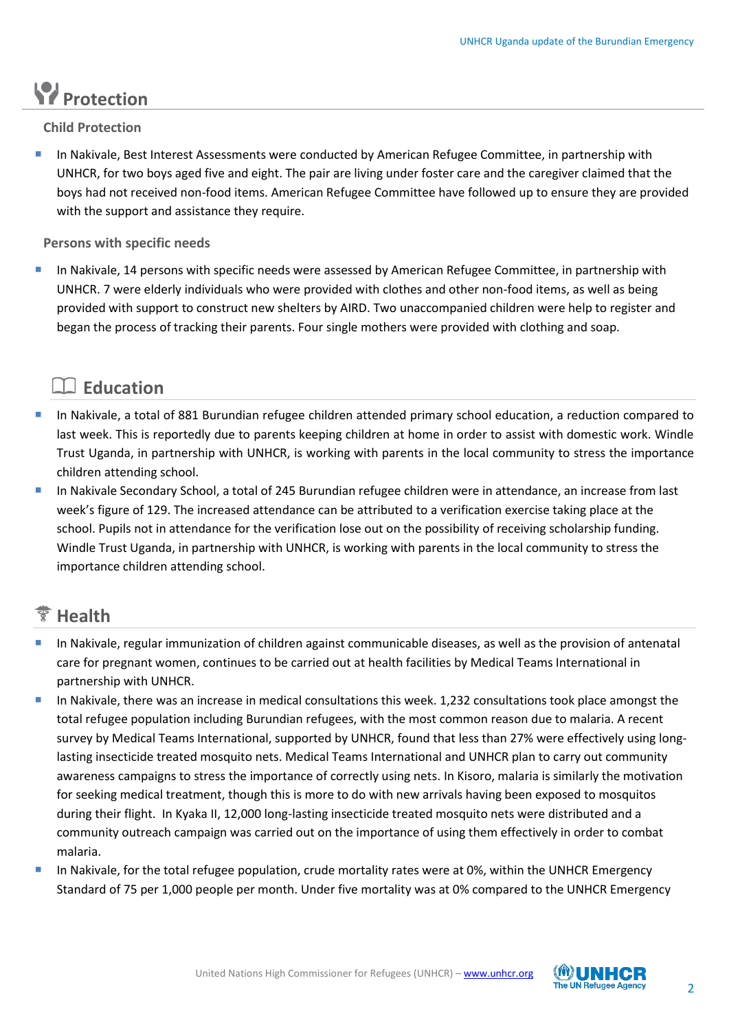# **Protection**

**Child Protection** 

 In Nakivale, Best Interest Assessments were conducted by American Refugee Committee, in partnership with UNHCR, for two boys aged five and eight. The pair are living under foster care and the caregiver claimed that the boys had not received non-food items. American Refugee Committee have followed up to ensure they are provided with the support and assistance they require.

**Persons with specific needs**

 In Nakivale, 14 persons with specific needs were assessed by American Refugee Committee, in partnership with UNHCR. 7 were elderly individuals who were provided with clothes and other non-food items, as well as being provided with support to construct new shelters by AIRD. Two unaccompanied children were help to register and began the process of tracking their parents. Four single mothers were provided with clothing and soap.

### **Education**

- In Nakivale, a total of 881 Burundian refugee children attended primary school education, a reduction compared to last week. This is reportedly due to parents keeping children at home in order to assist with domestic work. Windle Trust Uganda, in partnership with UNHCR, is working with parents in the local community to stress the importance children attending school.
- In Nakivale Secondary School, a total of 245 Burundian refugee children were in attendance, an increase from last week's figure of 129. The increased attendance can be attributed to a verification exercise taking place at the school. Pupils not in attendance for the verification lose out on the possibility of receiving scholarship funding. Windle Trust Uganda, in partnership with UNHCR, is working with parents in the local community to stress the importance children attending school.

### **Health**

- In Nakivale, regular immunization of children against communicable diseases, as well as the provision of antenatal care for pregnant women, continues to be carried out at health facilities by Medical Teams International in partnership with UNHCR.
- In Nakivale, there was an increase in medical consultations this week. 1,232 consultations took place amongst the total refugee population including Burundian refugees, with the most common reason due to malaria. A recent survey by Medical Teams International, supported by UNHCR, found that less than 27% were effectively using longlasting insecticide treated mosquito nets. Medical Teams International and UNHCR plan to carry out community awareness campaigns to stress the importance of correctly using nets. In Kisoro, malaria is similarly the motivation for seeking medical treatment, though this is more to do with new arrivals having been exposed to mosquitos during their flight. In Kyaka II, 12,000 long-lasting insecticide treated mosquito nets were distributed and a community outreach campaign was carried out on the importance of using them effectively in order to combat malaria.
- In Nakivale, for the total refugee population, crude mortality rates were at 0%, within the UNHCR Emergency Standard of 75 per 1,000 people per month. Under five mortality was at 0% compared to the UNHCR Emergency